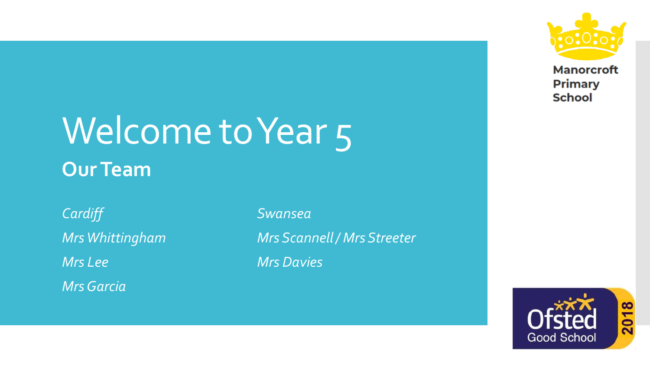

**Manorcroft Primary School** 

## Welcome to Year 5 **Our Team**

*Cardiff Swansea Mrs Lee Mrs Davies Mrs Garcia*

*Mrs Whittingham Mrs Scannell / Mrs Streeter*

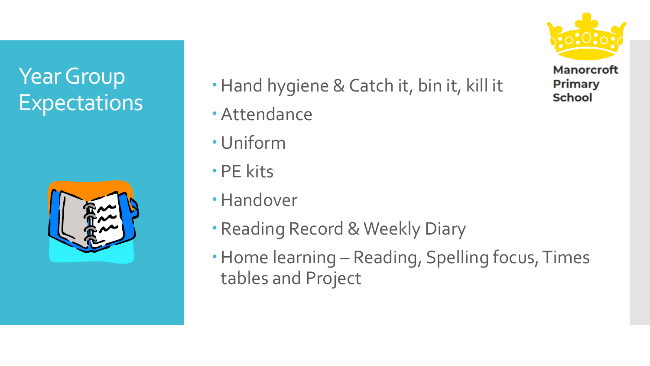### Year Group **Expectations**



- Hand hygiene & Catch it, bin it, kill it
- Attendance
- Uniform
- PE kits
- Handover
- Reading Record & Weekly Diary
- Home learning Reading, Spelling focus, Times tables and Project

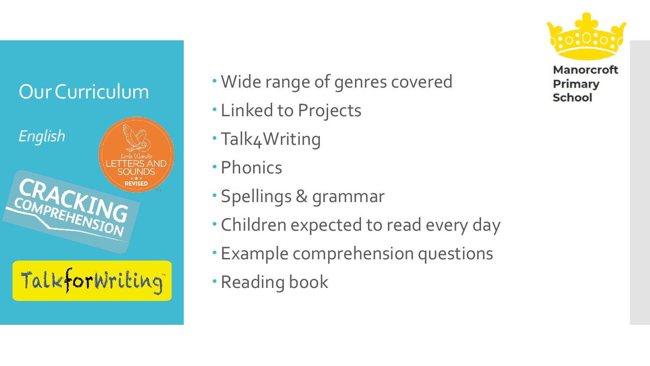#### Our Curriculum



- Wide range of genres covered
- Linked to Projects
- Talk4Writing
- Phonics
- Spellings & grammar
- Children expected to read every day
- Example comprehension questions
- Reading book

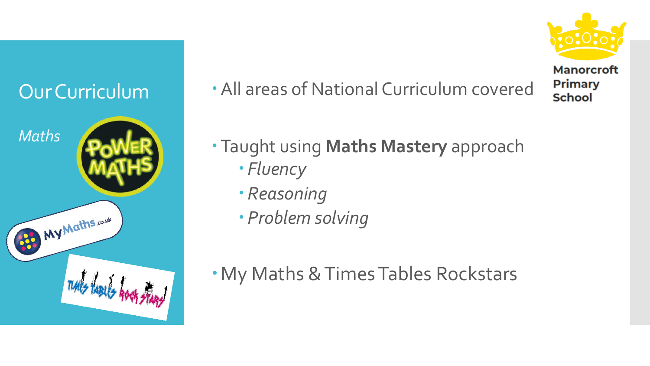

All areas of National Curriculum covered

Taught using **Maths Mastery** approach

- *Fluency*
- *Reasoning*
- *Problem solving*
- My Maths & Times Tables Rockstars



**School**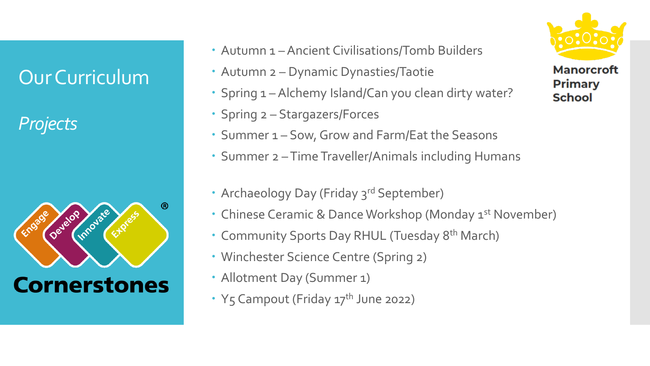#### Our Curriculum

*Projects*



- Autumn 1 –Ancient Civilisations/Tomb Builders
- Autumn 2 Dynamic Dynasties/Taotie
- Spring 1 Alchemy Island/Can you clean dirty water?
- Spring 2 Stargazers/Forces
- Summer 1 Sow, Grow and Farm/Eat the Seasons
- Summer 2 –Time Traveller/Animals including Humans
- Archaeology Day (Friday 3rd September)
- Chinese Ceramic & Dance Workshop (Monday 1<sup>st</sup> November)
- Community Sports Day RHUL (Tuesday 8<sup>th</sup> March)
- Winchester Science Centre (Spring 2)
- Allotment Day (Summer 1)
- Y5 Campout (Friday 17<sup>th</sup> June 2022)

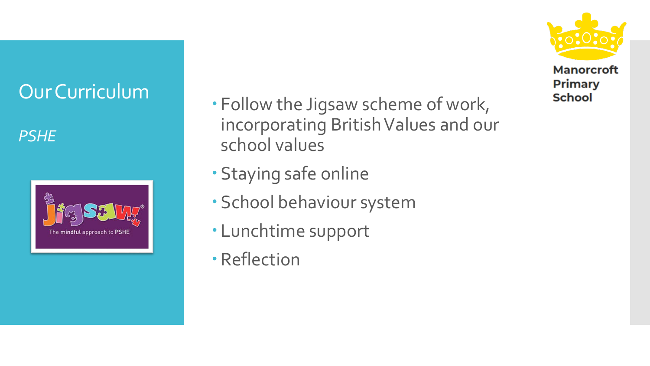#### Our Curriculum

*PSHE*



- Follow the Jigsaw scheme of work, incorporating British Values and our school values
- Staying safe online
- School behaviour system
- Lunchtime support
- Reflection

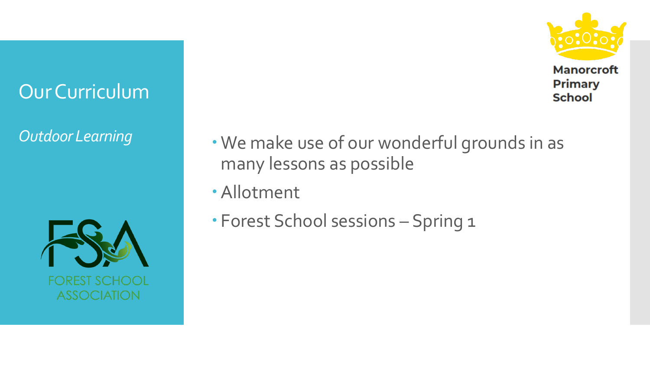

**Primary School** 

#### Our Curriculum



- **Outdoor Learning We make use of our wonderful grounds in as** many lessons as possible
	- Allotment
	- Forest School sessions Spring 1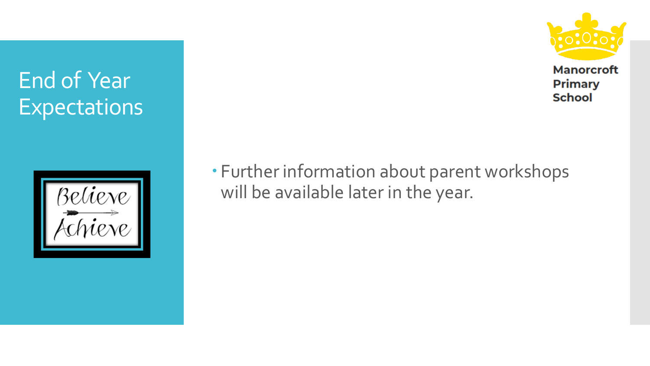

**Manorcroft Primary School** 

#### End of Year **Expectations**



 Further information about parent workshops will be available later in the year.